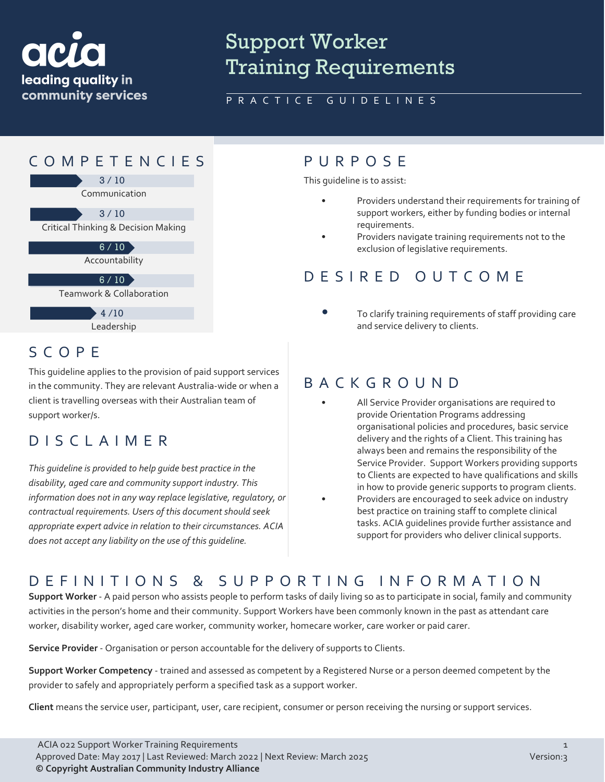

SCOPE

support worker/s.

DISCLAIMER

# Support Worker Training Requirements

#### PRACTICE GUIDELINES



This guideline applies to the provision of paid support services in the community. They are relevant Australia-wide or when a client is travelling overseas with their Australian team of

*This guideline is provided to help guide best practice in the disability, aged care and community support industry. This* 

*does not accept any liability on the use of this guideline.*

*information does not in any way replace legislative, regulatory, or contractual requirements. Users of this document should seek appropriate expert advice in relation to their circumstances. ACIA* 

This guideline is to assist:

- Providers understand their requirements for training of support workers, either by funding bodies or internal requirements.
- Providers navigate training requirements not to the exclusion of legislative requirements.

#### DESIRED OUTCOME

• To clarify training requirements of staff providing care and service delivery to clients.

#### BACKGROUND

- All Service Provider organisations are required to provide Orientation Programs addressing organisational policies and procedures, basic service delivery and the rights of a Client. This training has always been and remains the responsibility of the Service Provider. Support Workers providing supports to Clients are expected to have qualifications and skills in how to provide generic supports to program clients.
- Providers are encouraged to seek advice on industry best practice on training staff to complete clinical tasks. ACIA guidelines provide further assistance and support for providers who deliver clinical supports.

### DEFINITIONS & SUPPORTING INFORMATIO N

**Support Worker** - A paid person who assists people to perform tasks of daily living so as to participate in social, family and community activities in the person's home and their community. Support Workers have been commonly known in the past as attendant care worker, disability worker, aged care worker, community worker, homecare worker, care worker or paid carer.

**Service Provider** - Organisation or person accountable for the delivery of supports to Clients.

**Support Worker Competency** - trained and assessed as competent by a Registered Nurse or a person deemed competent by the provider to safely and appropriately perform a specified task as a support worker.

**Client** means the service user, participant, user, care recipient, consumer or person receiving the nursing or support services.